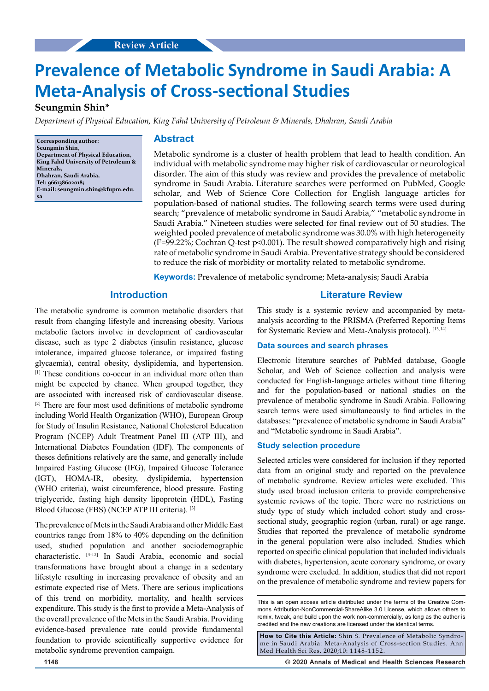# **Original Article Review Article**

# **Prevalence of Metabolic Syndrome in Saudi Arabia: A Meta-Analysis of Cross-sectional Studies**

# **Seungmin Shin\***

*Department of Physical Education, King Fahd University of Petroleum & Minerals, Dhahran, Saudi Arabia*

**Corresponding author: Seungmin Shin, Department of Physical Education, King Fahd University of Petroleum & Minerals, Dhahran, Saudi Arabia, Tel: 966138602018; E-mail: seungmin.shin@kfupm.edu. sa**

# **Abstract**

Metabolic syndrome is a cluster of health problem that lead to health condition. An individual with metabolic syndrome may higher risk of cardiovascular or neurological disorder. The aim of this study was review and provides the prevalence of metabolic syndrome in Saudi Arabia. Literature searches were performed on PubMed, Google scholar, and Web of Science Core Collection for English language articles for population-based of national studies. The following search terms were used during search; "prevalence of metabolic syndrome in Saudi Arabia," "metabolic syndrome in Saudi Arabia." Nineteen studies were selected for final review out of 50 studies. The weighted pooled prevalence of metabolic syndrome was 30.0% with high heterogeneity  $(I^2=99.22\%$ ; Cochran Q-test p<0.001). The result showed comparatively high and rising rate of metabolic syndrome in Saudi Arabia. Preventative strategy should be considered to reduce the risk of morbidity or mortality related to metabolic syndrome.

**Keywords:** Prevalence of metabolic syndrome; Meta-analysis; Saudi Arabia

# **Introduction**

The metabolic syndrome is common metabolic disorders that result from changing lifestyle and increasing obesity. Various metabolic factors involve in development of cardiovascular disease, such as type 2 diabetes (insulin resistance, glucose intolerance, impaired glucose tolerance, or impaired fasting glycaemia), central obesity, dyslipidemia, and hypertension. [1] These conditions co-occur in an individual more often than might be expected by chance. When grouped together, they are associated with increased risk of cardiovascular disease. [2] There are four most used definitions of metabolic syndrome including World Health Organization (WHO), European Group for Study of Insulin Resistance, National Cholesterol Education Program (NCEP) Adult Treatment Panel III (ATP III), and International Diabetes Foundation (IDF). The components of theses definitions relatively are the same, and generally include Impaired Fasting Glucose (IFG), Impaired Glucose Tolerance (IGT), HOMA-IR, obesity, dyslipidemia, hypertension (WHO criteria), waist circumference, blood pressure. Fasting triglyceride, fasting high density lipoprotein (HDL), Fasting Blood Glucose (FBS) (NCEP ATP III criteria). [3]

The prevalence of Mets in the Saudi Arabia and other Middle East countries range from 18% to 40% depending on the definition used, studied population and another sociodemographic characteristic. [4-12] In Saudi Arabia, economic and social transformations have brought about a change in a sedentary lifestyle resulting in increasing prevalence of obesity and an estimate expected rise of Mets. There are serious implications of this trend on morbidity, mortality, and health services expenditure. This study is the first to provide a Meta-Analysis of the overall prevalence of the Mets in the Saudi Arabia. Providing evidence-based prevalence rate could provide fundamental foundation to provide scientifically supportive evidence for metabolic syndrome prevention campaign.

# **Literature Review**

This study is a systemic review and accompanied by metaanalysis according to the PRISMA (Preferred Reporting Items for Systematic Review and Meta-Analysis protocol). [13,14]

# **Data sources and search phrases**

Electronic literature searches of PubMed database, Google Scholar, and Web of Science collection and analysis were conducted for English-language articles without time filtering and for the population-based or national studies on the prevalence of metabolic syndrome in Saudi Arabia. Following search terms were used simultaneously to find articles in the databases: "prevalence of metabolic syndrome in Saudi Arabia" and "Metabolic syndrome in Saudi Arabia".

#### **Study selection procedure**

Selected articles were considered for inclusion if they reported data from an original study and reported on the prevalence of metabolic syndrome. Review articles were excluded. This study used broad inclusion criteria to provide comprehensive systemic reviews of the topic. There were no restrictions on study type of study which included cohort study and crosssectional study, geographic region (urban, rural) or age range. Studies that reported the prevalence of metabolic syndrome in the general population were also included. Studies which reported on specific clinical population that included individuals with diabetes, hypertension, acute coronary syndrome, or ovary syndrome were excluded. In addition, studies that did not report on the prevalence of metabolic syndrome and review papers for

**How to Cite this Article:** Shin S. Prevalence of Metabolic Syndrome in Saudi Arabia: Meta-Analysis of Cross-section Studies. Ann Med Health Sci Res. 2020;10: 1148-1152.

**1148 © 2020 Annals of Medical and Health Sciences Research** 

This is an open access article distributed under the terms of the Creative Commons Attribution-NonCommercial-ShareAlike 3.0 License, which allows others to remix, tweak, and build upon the work non‑commercially, as long as the author is credited and the new creations are licensed under the identical terms.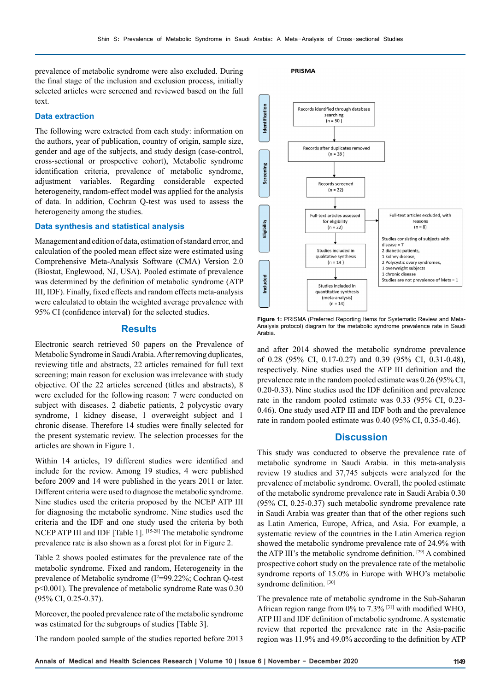prevalence of metabolic syndrome were also excluded. During the final stage of the inclusion and exclusion process, initially selected articles were screened and reviewed based on the full text.

## **Data extraction**

The following were extracted from each study: information on the authors, year of publication, country of origin, sample size, gender and age of the subjects, and study design (case-control, cross-sectional or prospective cohort), Metabolic syndrome identification criteria, prevalence of metabolic syndrome, adjustment variables. Regarding considerable expected heterogeneity, random-effect model was applied for the analysis of data. In addition, Cochran Q-test was used to assess the heterogeneity among the studies.

#### **Data synthesis and statistical analysis**

Management and edition of data, estimation of standard error, and calculation of the pooled mean effect size were estimated using Comprehensive Meta-Analysis Software (CMA) Version 2.0 (Biostat, Englewood, NJ, USA). Pooled estimate of prevalence was determined by the definition of metabolic syndrome (ATP III, IDF). Finally, fixed effects and random effects meta-analysis were calculated to obtain the weighted average prevalence with 95% CI (confidence interval) for the selected studies.

# **Results**

Electronic search retrieved 50 papers on the Prevalence of Metabolic Syndrome in Saudi Arabia. After removing duplicates, reviewing title and abstracts, 22 articles remained for full text screening; main reason for exclusion was irrelevance with study objective. Of the 22 articles screened (titles and abstracts), 8 were excluded for the following reason: 7 were conducted on subject with diseases. 2 diabetic patients, 2 polycystic ovary syndrome, 1 kidney disease, 1 overweight subject and 1 chronic disease. Therefore 14 studies were finally selected for the present systematic review. The selection processes for the articles are shown in Figure 1.

Within 14 articles, 19 different studies were identified and include for the review. Among 19 studies, 4 were published before 2009 and 14 were published in the years 2011 or later. Different criteria were used to diagnose the metabolic syndrome. Nine studies used the criteria proposed by the NCEP ATP III for diagnosing the metabolic syndrome. Nine studies used the criteria and the IDF and one study used the criteria by both NCEP ATP III and IDF [Table 1]. [15-28] The metabolic syndrome prevalence rate is also shown as a forest plot for in Figure 2.

Table 2 shows pooled estimates for the prevalence rate of the metabolic syndrome. Fixed and random, Heterogeneity in the prevalence of Metabolic syndrome  $(I^2=99.22\%;$  Cochran Q-test p<0.001). The prevalence of metabolic syndrome Rate was 0.30 (95% CI, 0.25-0.37).

Moreover, the pooled prevalence rate of the metabolic syndrome was estimated for the subgroups of studies [Table 3].

The random pooled sample of the studies reported before 2013



**Figure 1:** PRISMA (Preferred Reporting Items for Systematic Review and Meta-Analysis protocol) diagram for the metabolic syndrome prevalence rate in Saudi Arabia.

and after 2014 showed the metabolic syndrome prevalence of 0.28 (95% CI, 0.17-0.27) and 0.39 (95% CI, 0.31-0.48), respectively. Nine studies used the ATP III definition and the prevalence rate in the random pooled estimate was 0.26 (95% CI, 0.20-0.33). Nine studies used the IDF definition and prevalence rate in the random pooled estimate was 0.33 (95% CI, 0.23- 0.46). One study used ATP III and IDF both and the prevalence rate in random pooled estimate was 0.40 (95% CI, 0.35-0.46).

### **Discussion**

This study was conducted to observe the prevalence rate of metabolic syndrome in Saudi Arabia. in this meta-analysis review 19 studies and 37,745 subjects were analyzed for the prevalence of metabolic syndrome. Overall, the pooled estimate of the metabolic syndrome prevalence rate in Saudi Arabia 0.30 (95% CI, 0.25-0.37) such metabolic syndrome prevalence rate in Saudi Arabia was greater than that of the other regions such as Latin America, Europe, Africa, and Asia. For example, a systematic review of the countries in the Latin America region showed the metabolic syndrome prevalence rate of 24.9% with the ATP III's the metabolic syndrome definition. [29] A combined prospective cohort study on the prevalence rate of the metabolic syndrome reports of 15.0% in Europe with WHO's metabolic syndrome definition.<sup>[30]</sup>

The prevalence rate of metabolic syndrome in the Sub-Saharan African region range from  $0\%$  to  $7.3\%$  <sup>[31]</sup> with modified WHO, ATP III and IDF definition of metabolic syndrome. A systematic review that reported the prevalence rate in the Asia-pacific region was 11.9% and 49.0% according to the definition by ATP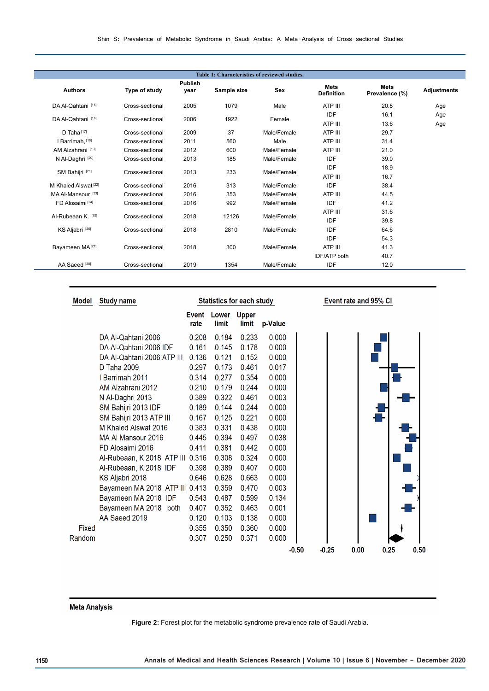| Table 1: Characteristics of reviewed studies. |                 |                        |             |             |                                  |                               |                    |  |
|-----------------------------------------------|-----------------|------------------------|-------------|-------------|----------------------------------|-------------------------------|--------------------|--|
| <b>Authors</b>                                | Type of study   | <b>Publish</b><br>year | Sample size | <b>Sex</b>  | <b>Mets</b><br><b>Definition</b> | <b>Mets</b><br>Prevalence (%) | <b>Adjustments</b> |  |
| DA Al-Qahtani [15]                            | Cross-sectional | 2005                   | 1079        | Male        | ATP III                          | 20.8                          | Age                |  |
| DA Al-Qahtani [16]                            | Cross-sectional | 2006                   | 1922        | Female      | <b>IDF</b><br>ATP III            | 16.1<br>13.6                  | Age<br>Age         |  |
| D Taha <sup>[17]</sup>                        | Cross-sectional | 2009                   | 37          | Male/Female | ATP III                          | 29.7                          |                    |  |
| I Barrimah, [18]                              | Cross-sectional | 2011                   | 560         | Male        | ATP III                          | 31.4                          |                    |  |
| AM Alzahrani [19]                             | Cross-sectional | 2012                   | 600         | Male/Female | ATP III                          | 21.0                          |                    |  |
| N Al-Daghri <sup>[20]</sup>                   | Cross-sectional | 2013                   | 185         | Male/Female | <b>IDF</b>                       | 39.0                          |                    |  |
| SM Bahijri [21]                               | Cross-sectional | 2013                   | 233         | Male/Female | IDF<br>ATP III                   | 18.9<br>16.7                  |                    |  |
| M Khaled Alswat <sup>[22]</sup>               | Cross-sectional | 2016                   | 313         | Male/Female | IDF                              | 38.4                          |                    |  |
| MA Al-Mansour <sup>[23]</sup>                 | Cross-sectional | 2016                   | 353         | Male/Female | ATP III                          | 44.5                          |                    |  |
| FD Alosaimi <sup>[24]</sup>                   | Cross-sectional | 2016                   | 992         | Male/Female | IDF                              | 41.2                          |                    |  |
| Al-Rubeaan K. [25]                            |                 |                        | 12126       | Male/Female | ATP III                          | 31.6                          |                    |  |
|                                               | Cross-sectional | 2018                   |             |             | IDF                              | 39.8                          |                    |  |
| KS Aljabri <sup>[26]</sup>                    | Cross-sectional | 2018                   | 2810        | Male/Female | <b>IDF</b>                       | 64.6                          |                    |  |
|                                               |                 |                        |             |             | <b>IDF</b>                       | 54.3                          |                    |  |
| Bayameen MA <sup>[27]</sup>                   | Cross-sectional | 2018                   | 300         | Male/Female | ATP III                          | 41.3                          |                    |  |
|                                               |                 |                        |             |             | <b>IDF/ATP</b> both              | 40.7                          |                    |  |
| AA Saeed <sup>[28]</sup>                      | Cross-sectional | 2019                   | 1354        | Male/Female | IDF                              | 12.0                          |                    |  |

| Model  | <b>Study name</b>                | <b>Statistics for each study</b> |                |                       | Event rate and 95% CI |         |         |      |      |  |
|--------|----------------------------------|----------------------------------|----------------|-----------------------|-----------------------|---------|---------|------|------|--|
|        |                                  | <b>Event</b><br>rate             | Lower<br>limit | <b>Upper</b><br>limit | p-Value               |         |         |      |      |  |
|        | DA Al-Qahtani 2006               | 0.208                            | 0.184          | 0.233                 | 0.000                 |         |         |      |      |  |
|        | DA Al-Qahtani 2006 IDF           | 0.161                            | 0.145          | 0.178                 | 0.000                 |         |         |      |      |  |
|        | DA Al-Qahtani 2006 ATP III       | 0.136                            | 0.121          | 0.152                 | 0.000                 |         |         |      |      |  |
|        | D Taha 2009                      | 0.297                            | 0.173          | 0.461                 | 0.017                 |         |         |      |      |  |
|        | Barrimah 2011                    | 0.314                            | 0.277          | 0.354                 | 0.000                 |         |         |      |      |  |
|        | AM Alzahrani 2012                | 0.210                            | 0.179          | 0.244                 | 0.000                 |         |         |      |      |  |
|        | N Al-Daghri 2013                 | 0.389                            | 0.322          | 0.461                 | 0.003                 |         |         |      |      |  |
|        | SM Bahijri 2013 IDF              | 0.189                            | 0.144          | 0.244                 | 0.000                 |         |         |      |      |  |
|        | SM Bahijri 2013 ATP III          | 0.167                            | 0.125          | 0.221                 | 0.000                 |         |         |      |      |  |
|        | M Khaled Alswat 2016             | 0.383                            | 0.331          | 0.438                 | 0.000                 |         |         |      |      |  |
|        | MA Al Mansour 2016               | 0.445                            | 0.394          | 0.497                 | 0.038                 |         |         |      |      |  |
|        | FD Alosaimi 2016                 | 0.411                            | 0.381          | 0.442                 | 0.000                 |         |         |      |      |  |
|        | Al-Rubeaan, K 2018 ATP III 0.316 |                                  | 0.308          | 0.324                 | 0.000                 |         |         |      |      |  |
|        | Al-Rubeaan, K 2018 IDF           | 0.398                            | 0.389          | 0.407                 | 0.000                 |         |         |      |      |  |
|        | KS Aljabri 2018                  | 0.646                            | 0.628          | 0.663                 | 0.000                 |         |         |      |      |  |
|        | Bayameen MA 2018 ATP III 0.413   |                                  | 0.359          | 0.470                 | 0.003                 |         |         |      |      |  |
|        | Bayameen MA 2018 IDF             | 0.543                            | 0.487          | 0.599                 | 0.134                 |         |         |      |      |  |
|        | Bayameen MA 2018 both            | 0.407                            | 0.352          | 0.463                 | 0.001                 |         |         |      |      |  |
|        | AA Saeed 2019                    | 0.120                            | 0.103          | 0.138                 | 0.000                 |         |         |      |      |  |
| Fixed  |                                  | 0.355                            | 0.350          | 0.360                 | 0.000                 |         |         |      |      |  |
| Random |                                  | 0.307                            | 0.250          | 0.371                 | 0.000                 |         |         |      |      |  |
|        |                                  |                                  |                |                       |                       | $-0.50$ | $-0.25$ | 0.00 | 0.25 |  |

 $0.50$ 

# **Meta Analysis**

**Figure 2:** Forest plot for the metabolic syndrome prevalence rate of Saudi Arabia.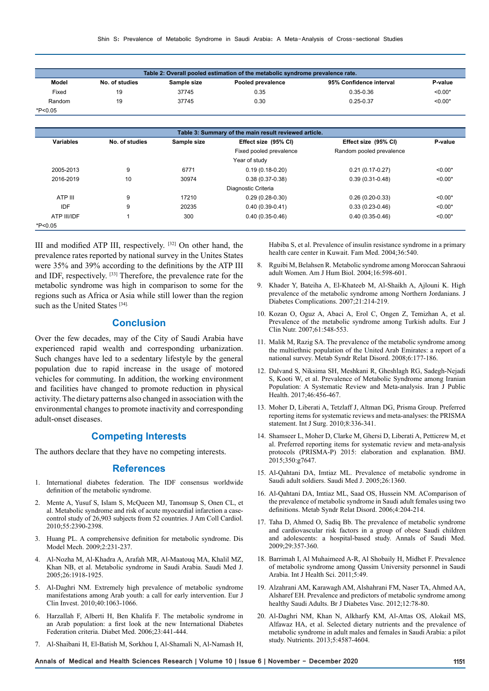| Table 2: Overall pooled estimation of the metabolic syndrome prevalence rate. |                |             |                   |                         |           |  |  |
|-------------------------------------------------------------------------------|----------------|-------------|-------------------|-------------------------|-----------|--|--|
| Model                                                                         | No. of studies | Sample size | Pooled prevalence | 95% Confidence interval | P-value   |  |  |
| Fixed                                                                         | 19             | 37745       | 0.35              | $0.35 - 0.36$           | $< 0.00*$ |  |  |
| Random                                                                        | 19             | 37745       | 0.30              | $0.25 - 0.37$           | $< 0.00*$ |  |  |
| *P<0.05                                                                       |                |             |                   |                         |           |  |  |

| Table 3: Summary of the main result reviewed article. |                |             |                                              |                          |           |  |  |  |  |  |
|-------------------------------------------------------|----------------|-------------|----------------------------------------------|--------------------------|-----------|--|--|--|--|--|
| <b>Variables</b>                                      | No. of studies | Sample size | Effect size (95% CI)<br>Effect size (95% CI) |                          | P-value   |  |  |  |  |  |
|                                                       |                |             | Fixed pooled prevalence                      | Random pooled prevalence |           |  |  |  |  |  |
|                                                       | Year of study  |             |                                              |                          |           |  |  |  |  |  |
| 2005-2013                                             | 9              | 6771        | $0.19(0.18-0.20)$                            | $0.21(0.17-0.27)$        | $< 0.00*$ |  |  |  |  |  |
| 2016-2019                                             | 10             | 30974       | $0.38(0.37-0.38)$                            | $0.39(0.31-0.48)$        | $< 0.00*$ |  |  |  |  |  |
| Diagnostic Criteria                                   |                |             |                                              |                          |           |  |  |  |  |  |
| ATP III                                               | 9              | 17210       | $0.29(0.28-0.30)$                            | $0.26(0.20-0.33)$        | $< 0.00*$ |  |  |  |  |  |
| <b>IDF</b>                                            | 9              | 20235       | $0.40(0.39-0.41)$                            | $0.33(0.23-0.46)$        | $< 0.00*$ |  |  |  |  |  |
| ATP III/IDF                                           |                | 300         | $0.40(0.35-0.46)$                            | $0.40(0.35-0.46)$        | $< 0.00*$ |  |  |  |  |  |
| *P<0.05                                               |                |             |                                              |                          |           |  |  |  |  |  |

III and modified ATP III, respectively. [32] On other hand, the prevalence rates reported by national survey in the Unites States were 35% and 39% according to the definitions by the ATP III and IDF, respectively. [33] Therefore, the prevalence rate for the metabolic syndrome was high in comparison to some for the regions such as Africa or Asia while still lower than the region such as the United States [34].

# **Conclusion**

Over the few decades, may of the City of Saudi Arabia have experienced rapid wealth and corresponding urbanization. Such changes have led to a sedentary lifestyle by the general population due to rapid increase in the usage of motored vehicles for commuting. In addition, the working environment and facilities have changed to promote reduction in physical activity. The dietary patterns also changed in association with the environmental changes to promote inactivity and corresponding adult-onset diseases.

# **Competing Interests**

The authors declare that they have no competing interests.

### **References**

- 1. International diabetes federation. The IDF consensus worldwide definition of the metabolic syndrome.
- 2. Mente A, Yusuf S, Islam S, McQueen MJ, Tanomsup S, Onen CL, et al. Metabolic syndrome and risk of acute myocardial infarction a casecontrol study of 26,903 subjects from 52 countries. J Am Coll Cardiol. 2010;55:2390-2398.
- 3. Huang PL. A comprehensive definition for metabolic syndrome. Dis Model Mech. 2009;2:231-237.
- 4. Al-Nozha M, Al-Khadra A, Arafah MR, Al-Maatouq MA, Khalil MZ, Khan NB, et al. Metabolic syndrome in Saudi Arabia. Saudi Med J. 2005;26:1918-1925.
- 5. Al-Daghri NM. Extremely high prevalence of metabolic syndrome manifestations among Arab youth: a call for early intervention. Eur J Clin Invest. 2010;40:1063-1066.
- 6. Harzallah F, Alberti H, Ben Khalifa F. The metabolic syndrome in an Arab population: a first look at the new International Diabetes Federation criteria. Diabet Med. 2006;23:441-444.
- 7. Al-Shaibani H, El-Batish M, Sorkhou I, Al-Shamali N, Al-Namash H,

Habiba S, et al. Prevalence of insulin resistance syndrome in a primary health care center in Kuwait. Fam Med. 2004;36:540.

- 8. Rguibi M, Belahsen R. Metabolic syndrome among Moroccan Sahraoui adult Women. Am J Hum Biol. 2004;16:598-601.
- 9. Khader Y, Bateiha A, El-Khateeb M, Al-Shaikh A, Ajlouni K. High prevalence of the metabolic syndrome among Northern Jordanians. J Diabetes Complications. 2007;21:214-219.
- 10. Kozan O, Oguz A, Abaci A, Erol C, Ongen Z, Temizhan A, et al. Prevalence of the metabolic syndrome among Turkish adults. Eur J Clin Nutr. 2007;61:548-553.
- 11. Malik M, Razig SA. The prevalence of the metabolic syndrome among the multiethnic population of the United Arab Emirates: a report of a national survey. Metab Syndr Relat Disord. 2008;6:177-186.
- 12. Dalvand S, Niksima SH, Meshkani R, Gheshlagh RG, Sadegh-Nejadi S, Kooti W, et al. Prevalence of Metabolic Syndrome among Iranian Population: A Systematic Review and Meta-analysis. Iran J Public Health. 2017;46:456-467.
- 13. Moher D, Liberati A, Tetzlaff J, Altman DG, Prisma Group. Preferred reporting items for systematic reviews and meta-analyses: the PRISMA statement. Int J Surg. 2010;8:336-341.
- 14. Shamseer L, Moher D, Clarke M, Ghersi D, Liberati A, Petticrew M, et al. Preferred reporting items for systematic review and meta-analysis protocols (PRISMA-P) 2015: elaboration and explanation. BMJ. 2015;350:g7647.
- 15. Al-Qahtani DA, Imtiaz ML. Prevalence of metabolic syndrome in Saudi adult soldiers. Saudi Med J. 2005;26:1360.
- 16. Al-Qahtani DA, Imtiaz ML, Saad OS, Hussein NM. AComparison of the prevalence of metabolic syndrome in Saudi adult females using two definitions. Metab Syndr Relat Disord. 2006;4:204-214.
- 17. Taha D, Ahmed O, Sadiq Bb. The prevalence of metabolic syndrome and cardiovascular risk factors in a group of obese Saudi children and adolescents: a hospital-based study. Annals of Saudi Med. 2009;29:357-360.
- 18. Barrimah I, Al Muhaimeed A-R, Al Shobaily H, Midhet F. Prevalence of metabolic syndrome among Qassim University personnel in Saudi Arabia. Int J Health Sci. 2011;5:49.
- 19. Alzahrani AM, Karawagh AM, Alshahrani FM, Naser TA, Ahmed AA, Alsharef EH. Prevalence and predictors of metabolic syndrome among healthy Saudi Adults. Br J Diabetes Vasc. 2012;12:78-80.
- 20. Al-Daghri NM, Khan N, Alkharfy KM, Al-Attas OS, Alokail MS, Alfawaz HA, et al. Selected dietary nutrients and the prevalence of metabolic syndrome in adult males and females in Saudi Arabia: a pilot study. Nutrients. 2013;5:4587-4604.

**Annals of Medical and Health Sciences Research | Volume 10 | Issue 6 | November - December 2020 1151**